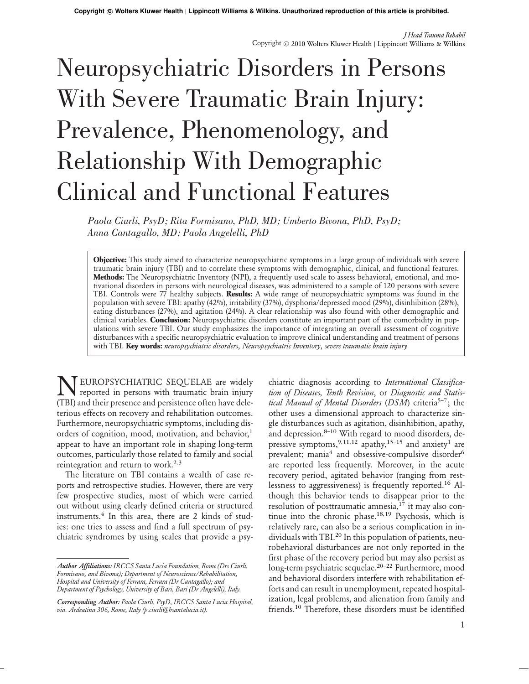**Copyright** -**c Wolters Kluwer Health** | **Lippincott Williams & Wilkins. Unauthorized reproduction of this article is prohibited.**

# Neuropsychiatric Disorders in Persons With Severe Traumatic Brain Injury: Prevalence, Phenomenology, and Relationship With Demographic Clinical and Functional Features

*Paola Ciurli, PsyD; Rita Formisano, PhD, MD; Umberto Bivona, PhD, PsyD; Anna Cantagallo, MD; Paola Angelelli, PhD*

**Objective:** This study aimed to characterize neuropsychiatric symptoms in a large group of individuals with severe traumatic brain injury (TBI) and to correlate these symptoms with demographic, clinical, and functional features. **Methods:** The Neuropsychiatric Inventory (NPI), a frequently used scale to assess behavioral, emotional, and motivational disorders in persons with neurological diseases, was administered to a sample of 120 persons with severe TBI. Controls were 77 healthy subjects. **Results:** A wide range of neuropsychiatric symptoms was found in the population with severe TBI: apathy (42%), irritability (37%), dysphoria/depressed mood (29%), disinhibition (28%), eating disturbances (27%), and agitation (24%). A clear relationship was also found with other demographic and clinical variables. **Conclusion:** Neuropsychiatric disorders constitute an important part of the comorbidity in populations with severe TBI. Our study emphasizes the importance of integrating an overall assessment of cognitive disturbances with a specific neuropsychiatric evaluation to improve clinical understanding and treatment of persons with TBI. **Key words:** *neuropsychiatric disorders*, *Neuropsychiatric Inventory*, *severe traumatic brain injury*

TEUROPSYCHIATRIC SEQUELAE are widely reported in persons with traumatic brain injury (TBI) and their presence and persistence often have deleterious effects on recovery and rehabilitation outcomes. Furthermore, neuropsychiatric symptoms, including disorders of cognition, mood, motivation, and behavior,<sup>1</sup> appear to have an important role in shaping long-term outcomes, particularly those related to family and social reintegration and return to work.<sup>2,3</sup>

The literature on TBI contains a wealth of case reports and retrospective studies. However, there are very few prospective studies, most of which were carried out without using clearly defined criteria or structured instruments.<sup>4</sup> In this area, there are 2 kinds of studies: one tries to assess and find a full spectrum of psychiatric syndromes by using scales that provide a psychiatric diagnosis according to *International Classification of Diseases, Tenth Revision*, or *Diagnostic and Statistical Manual of Mental Disorders* (*DSM*) criteria<sup>5</sup>–<sup>7</sup>; the other uses a dimensional approach to characterize single disturbances such as agitation, disinhibition, apathy, and depression.<sup>8-10</sup> With regard to mood disorders, depressive symptoms, 9,11,12 apathy,  $13-15$  and anxiety<sup>1</sup> are prevalent; mania<sup>4</sup> and obsessive-compulsive disorder<sup>6</sup> are reported less frequently. Moreover, in the acute recovery period, agitated behavior (ranging from restlessness to aggressiveness) is frequently reported.<sup>16</sup> Although this behavior tends to disappear prior to the resolution of posttraumatic amnesia, $17$  it may also continue into the chronic phase.<sup>18</sup>,<sup>19</sup> Psychosis, which is relatively rare, can also be a serious complication in individuals with TBI.<sup>20</sup> In this population of patients, neurobehavioral disturbances are not only reported in the first phase of the recovery period but may also persist as long-term psychiatric sequelae.<sup>20–22</sup> Furthermore, mood and behavioral disorders interfere with rehabilitation efforts and can result in unemployment, repeated hospitalization, legal problems, and alienation from family and friends.<sup>10</sup> Therefore, these disorders must be identified

*Author Affiliations: IRCCS Santa Lucia Foundation, Rome (Drs Ciurli, Formisano, and Bivona); Department of Neuroscience/Rehabilitation, Hospital and University of Ferrara, Ferrara (Dr Cantagallo); and Department of Psychology, University of Bari, Bari (Dr Angelelli), Italy.*

*Corresponding Author: Paola Ciurli, PsyD, IRCCS Santa Lucia Hospital, via. Ardeatina 306, Rome, Italy (p.ciurli@hsantalucia.it).*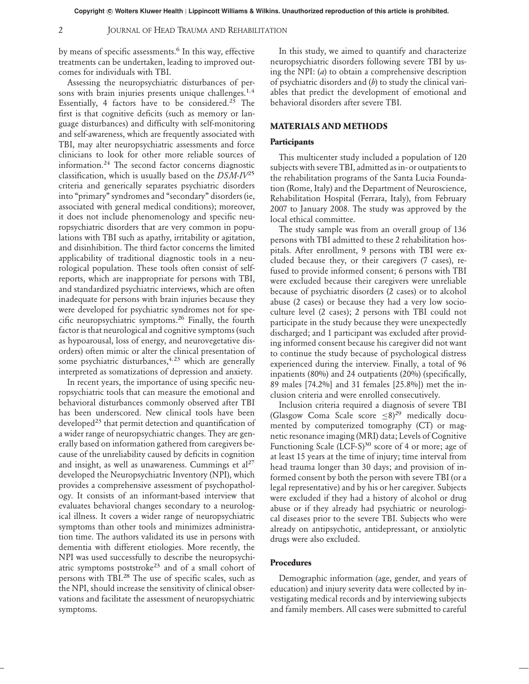by means of specific assessments.<sup>6</sup> In this way, effective treatments can be undertaken, leading to improved outcomes for individuals with TBI.

Assessing the neuropsychiatric disturbances of persons with brain injuries presents unique challenges.<sup>1,4</sup> Essentially, 4 factors have to be considered.<sup>23</sup> The first is that cognitive deficits (such as memory or language disturbances) and difficulty with self-monitoring and self-awareness, which are frequently associated with TBI, may alter neuropsychiatric assessments and force clinicians to look for other more reliable sources of information.<sup>24</sup> The second factor concerns diagnostic classification, which is usually based on the *DSM-IV*<sup>25</sup> criteria and generically separates psychiatric disorders into "primary" syndromes and "secondary" disorders (ie, associated with general medical conditions); moreover, it does not include phenomenology and specific neuropsychiatric disorders that are very common in populations with TBI such as apathy, irritability or agitation, and disinhibition. The third factor concerns the limited applicability of traditional diagnostic tools in a neurological population. These tools often consist of selfreports, which are inappropriate for persons with TBI, and standardized psychiatric interviews, which are often inadequate for persons with brain injuries because they were developed for psychiatric syndromes not for specific neuropsychiatric symptoms.<sup>26</sup> Finally, the fourth factor is that neurological and cognitive symptoms (such as hypoarousal, loss of energy, and neurovegetative disorders) often mimic or alter the clinical presentation of some psychiatric disturbances,  $4.23$  which are generally interpreted as somatizations of depression and anxiety.

In recent years, the importance of using specific neuropsychiatric tools that can measure the emotional and behavioral disturbances commonly observed after TBI has been underscored. New clinical tools have been developed<sup>23</sup> that permit detection and quantification of a wider range of neuropsychiatric changes. They are generally based on information gathered from caregivers because of the unreliability caused by deficits in cognition and insight, as well as unawareness. Cummings et  $al^{27}$ developed the Neuropsychiatric Inventory (NPI), which provides a comprehensive assessment of psychopathology. It consists of an informant-based interview that evaluates behavioral changes secondary to a neurological illness. It covers a wider range of neuropsychiatric symptoms than other tools and minimizes administration time. The authors validated its use in persons with dementia with different etiologies. More recently, the NPI was used successfully to describe the neuropsychiatric symptoms poststroke<sup>23</sup> and of a small cohort of persons with TBI.<sup>28</sup> The use of specific scales, such as the NPI, should increase the sensitivity of clinical observations and facilitate the assessment of neuropsychiatric symptoms.

In this study, we aimed to quantify and characterize neuropsychiatric disorders following severe TBI by using the NPI: (*a*) to obtain a comprehensive description of psychiatric disorders and (*b*) to study the clinical variables that predict the development of emotional and behavioral disorders after severe TBI.

## **MATERIALS AND METHODS**

### **Participants**

This multicenter study included a population of 120 subjects with severe TBI, admitted as in- or outpatients to the rehabilitation programs of the Santa Lucia Foundation (Rome, Italy) and the Department of Neuroscience, Rehabilitation Hospital (Ferrara, Italy), from February 2007 to January 2008. The study was approved by the local ethical committee.

The study sample was from an overall group of 136 persons with TBI admitted to these 2 rehabilitation hospitals. After enrollment, 9 persons with TBI were excluded because they, or their caregivers (7 cases), refused to provide informed consent; 6 persons with TBI were excluded because their caregivers were unreliable because of psychiatric disorders (2 cases) or to alcohol abuse (2 cases) or because they had a very low socioculture level (2 cases); 2 persons with TBI could not participate in the study because they were unexpectedly discharged; and 1 participant was excluded after providing informed consent because his caregiver did not want to continue the study because of psychological distress experienced during the interview. Finally, a total of 96 inpatients (80%) and 24 outpatients (20%) (specifically, 89 males [74.2%] and 31 females [25.8%]) met the inclusion criteria and were enrolled consecutively.

Inclusion criteria required a diagnosis of severe TBI (Glasgow Coma Scale score  $\leq 8$ )<sup>29</sup> medically documented by computerized tomography (CT) or magnetic resonance imaging (MRI) data; Levels of Cognitive Functioning Scale  $(LCF-S)^{30}$  score of 4 or more; age of at least 15 years at the time of injury; time interval from head trauma longer than 30 days; and provision of informed consent by both the person with severe TBI (or a legal representative) and by his or her caregiver. Subjects were excluded if they had a history of alcohol or drug abuse or if they already had psychiatric or neurological diseases prior to the severe TBI. Subjects who were already on antipsychotic, antidepressant, or anxiolytic drugs were also excluded.

#### **Procedures**

Demographic information (age, gender, and years of education) and injury severity data were collected by investigating medical records and by interviewing subjects and family members. All cases were submitted to careful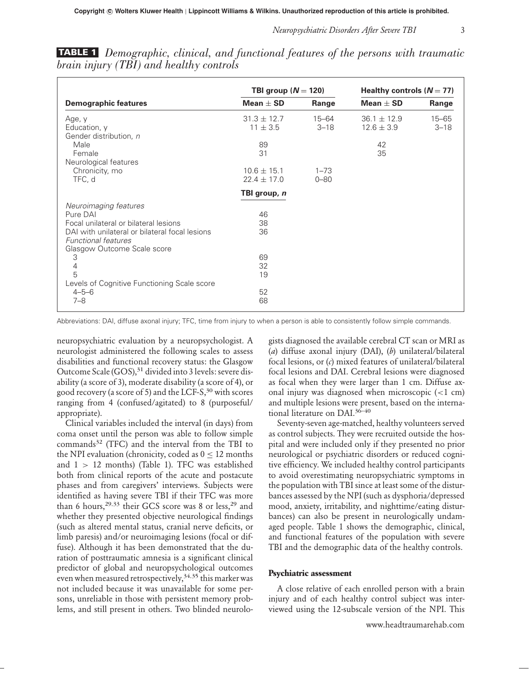|                                                | TBI group $(N = 120)$ |           | Healthy controls $(N = 77)$ |           |
|------------------------------------------------|-----------------------|-----------|-----------------------------|-----------|
| <b>Demographic features</b>                    | Mean $\pm$ SD         | Range     | Mean $\pm$ SD               | Range     |
| Age, y                                         | $31.3 \pm 12.7$       | $15 - 64$ | $36.1 \pm 12.9$             | $15 - 65$ |
| Education, y                                   | $11 \pm 3.5$          | $3 - 18$  | $12.6 \pm 3.9$              | $3 - 18$  |
| Gender distribution, n                         |                       |           |                             |           |
| Male                                           | 89                    |           | 42                          |           |
| Female                                         | 31                    |           | 35                          |           |
| Neurological features                          |                       |           |                             |           |
| Chronicity, mo                                 | $10.6 \pm 15.1$       | $1 - 73$  |                             |           |
| TFC, d                                         | $22.4 \pm 17.0$       | $0 - 80$  |                             |           |
|                                                | TBI group, n          |           |                             |           |
| Neuroimaging features                          |                       |           |                             |           |
| Pure DAI                                       | 46                    |           |                             |           |
| Focal unilateral or bilateral lesions          | 38                    |           |                             |           |
| DAI with unilateral or bilateral focal lesions | 36                    |           |                             |           |
| <b>Functional features</b>                     |                       |           |                             |           |
| Glasgow Outcome Scale score                    |                       |           |                             |           |
| 3                                              | 69                    |           |                             |           |
|                                                | 32                    |           |                             |           |
| 4<br>5                                         | 19                    |           |                             |           |
| Levels of Cognitive Functioning Scale score    |                       |           |                             |           |
| $4 - 5 - 6$                                    | 52                    |           |                             |           |
| $7 - 8$                                        | 68                    |           |                             |           |

**TABLE 1** *Demographic, clinical, and functional features of the persons with traumatic brain injury (TBI) and healthy controls*

Abbreviations: DAI, diffuse axonal injury; TFC, time from injury to when a person is able to consistently follow simple commands.

neuropsychiatric evaluation by a neuropsychologist. A neurologist administered the following scales to assess disabilities and functional recovery status: the Glasgow Outcome Scale (GOS), <sup>31</sup> divided into 3 levels: severe disability (a score of 3), moderate disability (a score of 4), or good recovery (a score of 5) and the LCF-S,  $30$  with scores ranging from 4 (confused/agitated) to 8 (purposeful/ appropriate).

Clinical variables included the interval (in days) from coma onset until the person was able to follow simple commands $32$  (TFC) and the interval from the TBI to the NPI evaluation (chronicity, coded as  $0 \le 12$  months and  $1 > 12$  months) (Table 1). TFC was established both from clinical reports of the acute and postacute phases and from caregivers' interviews. Subjects were identified as having severe TBI if their TFC was more than 6 hours,<sup>29,33</sup> their GCS score was 8 or less,<sup>29</sup> and whether they presented objective neurological findings (such as altered mental status, cranial nerve deficits, or limb paresis) and/or neuroimaging lesions (focal or diffuse). Although it has been demonstrated that the duration of posttraumatic amnesia is a significant clinical predictor of global and neuropsychological outcomes even when measured retrospectively,  $34,35$  this marker was not included because it was unavailable for some persons, unreliable in those with persistent memory problems, and still present in others. Two blinded neurologists diagnosed the available cerebral CT scan or MRI as (*a*) diffuse axonal injury (DAI), (*b*) unilateral/bilateral focal lesions, or (*c*) mixed features of unilateral/bilateral focal lesions and DAI. Cerebral lesions were diagnosed as focal when they were larger than 1 cm. Diffuse axonal injury was diagnosed when microscopic (<1 cm) and multiple lesions were present, based on the international literature on DAI.36–<sup>40</sup>

Seventy-seven age-matched, healthy volunteers served as control subjects. They were recruited outside the hospital and were included only if they presented no prior neurological or psychiatric disorders or reduced cognitive efficiency. We included healthy control participants to avoid overestimating neuropsychiatric symptoms in the population with TBI since at least some of the disturbances assessed by the NPI (such as dysphoria/depressed mood, anxiety, irritability, and nighttime/eating disturbances) can also be present in neurologically undamaged people. Table 1 shows the demographic, clinical, and functional features of the population with severe TBI and the demographic data of the healthy controls.

#### **Psychiatric assessment**

A close relative of each enrolled person with a brain injury and of each healthy control subject was interviewed using the 12-subscale version of the NPI. This

www.headtraumarehab.com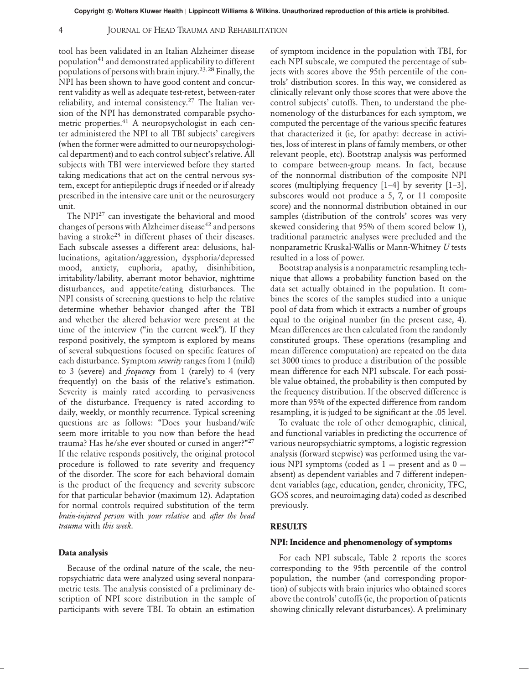tool has been validated in an Italian Alzheimer disease population<sup>41</sup> and demonstrated applicability to different populations of persons with brain injury.23,<sup>28</sup> Finally, the NPI has been shown to have good content and concurrent validity as well as adequate test-retest, between-rater reliability, and internal consistency.<sup>27</sup> The Italian version of the NPI has demonstrated comparable psychometric properties.<sup>41</sup> A neuropsychologist in each center administered the NPI to all TBI subjects' caregivers (when the former were admitted to our neuropsychological department) and to each control subject's relative. All subjects with TBI were interviewed before they started taking medications that act on the central nervous system, except for antiepileptic drugs if needed or if already prescribed in the intensive care unit or the neurosurgery unit.

The  $NPI^{27}$  can investigate the behavioral and mood changes of persons with Alzheimer disease<sup>42</sup> and persons having a stroke<sup>23</sup> in different phases of their diseases. Each subscale assesses a different area: delusions, hallucinations, agitation/aggression, dysphoria/depressed mood, anxiety, euphoria, apathy, disinhibition, irritability/lability, aberrant motor behavior, nighttime disturbances, and appetite/eating disturbances. The NPI consists of screening questions to help the relative determine whether behavior changed after the TBI and whether the altered behavior were present at the time of the interview ("in the current week"). If they respond positively, the symptom is explored by means of several subquestions focused on specific features of each disturbance. Symptom *severity* ranges from 1 (mild) to 3 (severe) and *frequency* from 1 (rarely) to 4 (very frequently) on the basis of the relative's estimation. Severity is mainly rated according to pervasiveness of the disturbance. Frequency is rated according to daily, weekly, or monthly recurrence. Typical screening questions are as follows: "Does your husband/wife seem more irritable to you now than before the head trauma? Has he/she ever shouted or cursed in anger?"<sup>27</sup> If the relative responds positively, the original protocol procedure is followed to rate severity and frequency of the disorder. The score for each behavioral domain is the product of the frequency and severity subscore for that particular behavior (maximum 12). Adaptation for normal controls required substitution of the term *brain-injured person* with *your relative* and *after the head trauma* with *this week*.

## **Data analysis**

Because of the ordinal nature of the scale, the neuropsychiatric data were analyzed using several nonparametric tests. The analysis consisted of a preliminary description of NPI score distribution in the sample of participants with severe TBI. To obtain an estimation

of symptom incidence in the population with TBI, for each NPI subscale, we computed the percentage of subjects with scores above the 95th percentile of the controls' distribution scores. In this way, we considered as clinically relevant only those scores that were above the control subjects' cutoffs. Then, to understand the phenomenology of the disturbances for each symptom, we computed the percentage of the various specific features that characterized it (ie, for apathy: decrease in activities, loss of interest in plans of family members, or other relevant people, etc). Bootstrap analysis was performed to compare between-group means. In fact, because of the nonnormal distribution of the composite NPI scores (multiplying frequency [1–4] by severity [1–3], subscores would not produce a 5, 7, or 11 composite score) and the nonnormal distribution obtained in our samples (distribution of the controls' scores was very skewed considering that 95% of them scored below 1), traditional parametric analyses were precluded and the nonparametric Kruskal-Wallis or Mann-Whitney *U* tests resulted in a loss of power.

Bootstrap analysis is a nonparametric resampling technique that allows a probability function based on the data set actually obtained in the population. It combines the scores of the samples studied into a unique pool of data from which it extracts a number of groups equal to the original number (in the present case, 4). Mean differences are then calculated from the randomly constituted groups. These operations (resampling and mean difference computation) are repeated on the data set 3000 times to produce a distribution of the possible mean difference for each NPI subscale. For each possible value obtained, the probability is then computed by the frequency distribution. If the observed difference is more than 95% of the expected difference from random resampling, it is judged to be significant at the .05 level.

To evaluate the role of other demographic, clinical, and functional variables in predicting the occurrence of various neuropsychiatric symptoms, a logistic regression analysis (forward stepwise) was performed using the various NPI symptoms (coded as  $1 =$  present and as  $0 =$ absent) as dependent variables and 7 different independent variables (age, education, gender, chronicity, TFC, GOS scores, and neuroimaging data) coded as described previously.

## **RESULTS**

#### **NPI: Incidence and phenomenology of symptoms**

For each NPI subscale, Table 2 reports the scores corresponding to the 95th percentile of the control population, the number (and corresponding proportion) of subjects with brain injuries who obtained scores above the controls' cutoffs (ie, the proportion of patients showing clinically relevant disturbances). A preliminary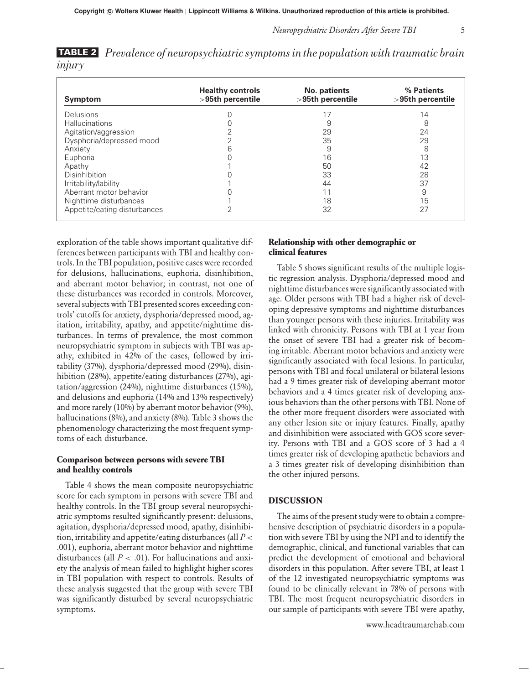| <b>Symptom</b>               | <b>Healthy controls</b><br>>95th percentile | <b>No. patients</b><br>>95th percentile | % Patients<br>>95th percentile |
|------------------------------|---------------------------------------------|-----------------------------------------|--------------------------------|
| <b>Delusions</b>             |                                             |                                         | 14                             |
| <b>Hallucinations</b>        |                                             | 9                                       | 8                              |
| Agitation/aggression         |                                             | 29                                      | 24                             |
| Dysphoria/depressed mood     |                                             | 35                                      | 29                             |
| Anxiety                      |                                             | 9                                       | 8                              |
| Euphoria                     |                                             | 16                                      | 13                             |
| Apathy                       |                                             | 50                                      | 42                             |
| Disinhibition                |                                             | 33                                      | 28                             |
| Irritability/lability        |                                             | 44                                      | 37                             |
| Aberrant motor behavior      |                                             |                                         | 9                              |
| Nighttime disturbances       |                                             | 18                                      | 15                             |
| Appetite/eating disturbances |                                             | 32                                      | 27                             |

**TABLE 2** *Prevalence of neuropsychiatric symptoms in the population with traumatic brain injury*

exploration of the table shows important qualitative differences between participants with TBI and healthy controls. In the TBI population, positive cases were recorded for delusions, hallucinations, euphoria, disinhibition, and aberrant motor behavior; in contrast, not one of these disturbances was recorded in controls. Moreover, several subjects with TBI presented scores exceeding controls' cutoffs for anxiety, dysphoria/depressed mood, agitation, irritability, apathy, and appetite/nighttime disturbances. In terms of prevalence, the most common neuropsychiatric symptom in subjects with TBI was apathy, exhibited in 42% of the cases, followed by irritability (37%), dysphoria/depressed mood (29%), disinhibition (28%), appetite/eating disturbances (27%), agitation/aggression (24%), nighttime disturbances (15%), and delusions and euphoria (14% and 13% respectively) and more rarely (10%) by aberrant motor behavior (9%), hallucinations (8%), and anxiety (8%). Table 3 shows the phenomenology characterizing the most frequent symptoms of each disturbance.

## **Comparison between persons with severe TBI and healthy controls**

Table 4 shows the mean composite neuropsychiatric score for each symptom in persons with severe TBI and healthy controls. In the TBI group several neuropsychiatric symptoms resulted significantly present: delusions, agitation, dysphoria/depressed mood, apathy, disinhibition, irritability and appetite/eating disturbances (all *P* < .001), euphoria, aberrant motor behavior and nighttime disturbances (all *P* < .01). For hallucinations and anxiety the analysis of mean failed to highlight higher scores in TBI population with respect to controls. Results of these analysis suggested that the group with severe TBI was significantly disturbed by several neuropsychiatric symptoms.

# **Relationship with other demographic or clinical features**

Table 5 shows significant results of the multiple logistic regression analysis. Dysphoria/depressed mood and nighttime disturbances were significantly associated with age. Older persons with TBI had a higher risk of developing depressive symptoms and nighttime disturbances than younger persons with these injuries. Irritability was linked with chronicity. Persons with TBI at 1 year from the onset of severe TBI had a greater risk of becoming irritable. Aberrant motor behaviors and anxiety were significantly associated with focal lesions. In particular, persons with TBI and focal unilateral or bilateral lesions had a 9 times greater risk of developing aberrant motor behaviors and a 4 times greater risk of developing anxious behaviors than the other persons with TBI. None of the other more frequent disorders were associated with any other lesion site or injury features. Finally, apathy and disinhibition were associated with GOS score severity. Persons with TBI and a GOS score of 3 had a 4 times greater risk of developing apathetic behaviors and a 3 times greater risk of developing disinhibition than the other injured persons.

## **DISCUSSION**

The aims of the present study were to obtain a comprehensive description of psychiatric disorders in a population with severe TBI by using the NPI and to identify the demographic, clinical, and functional variables that can predict the development of emotional and behavioral disorders in this population. After severe TBI, at least 1 of the 12 investigated neuropsychiatric symptoms was found to be clinically relevant in 78% of persons with TBI. The most frequent neuropsychiatric disorders in our sample of participants with severe TBI were apathy,

www.headtraumarehab.com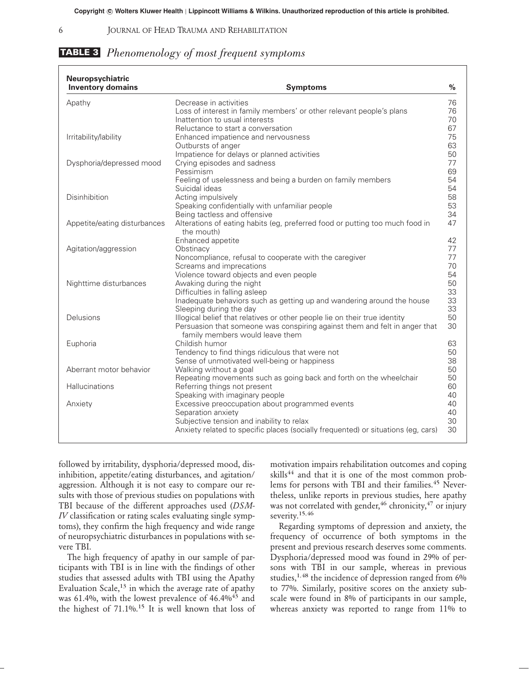| Neuropsychiatric<br><b>Inventory domains</b> | <b>Symptoms</b>                                                                                    | %        |
|----------------------------------------------|----------------------------------------------------------------------------------------------------|----------|
| Apathy                                       | Decrease in activities                                                                             | 76       |
|                                              | Loss of interest in family members' or other relevant people's plans                               | 76       |
|                                              | Inattention to usual interests                                                                     | 70       |
|                                              | Reluctance to start a conversation                                                                 | 67       |
| Irritability/lability                        | Enhanced impatience and nervousness                                                                | 75       |
|                                              | Outbursts of anger                                                                                 | 63       |
|                                              | Impatience for delays or planned activities                                                        | 50       |
| Dysphoria/depressed mood                     | Crying episodes and sadness                                                                        | 77       |
|                                              | Pessimism                                                                                          | 69       |
|                                              | Feeling of uselessness and being a burden on family members                                        | 54       |
|                                              | Suicidal ideas                                                                                     | 54       |
| Disinhibition                                | Acting impulsively                                                                                 | 58       |
|                                              | Speaking confidentially with unfamiliar people                                                     | 53       |
|                                              | Being tactless and offensive                                                                       | 34       |
| Appetite/eating disturbances                 | Alterations of eating habits (eg, preferred food or putting too much food in                       | 47       |
|                                              | the mouth)                                                                                         |          |
|                                              | Enhanced appetite                                                                                  | 42       |
| Agitation/aggression                         | Obstinacy                                                                                          | 77       |
|                                              | Noncompliance, refusal to cooperate with the caregiver                                             | 77       |
|                                              | Screams and imprecations                                                                           | 70       |
|                                              | Violence toward objects and even people                                                            | 54       |
| Nighttime disturbances                       | Awaking during the night                                                                           | 50       |
|                                              | Difficulties in falling asleep                                                                     | 33       |
|                                              | Inadequate behaviors such as getting up and wandering around the house                             | 33       |
|                                              | Sleeping during the day                                                                            | 33       |
| Delusions                                    | Illogical belief that relatives or other people lie on their true identity                         | 50       |
|                                              | Persuasion that someone was conspiring against them and felt in anger that                         | 30       |
|                                              | family members would leave them                                                                    |          |
| Euphoria                                     | Childish humor                                                                                     | 63       |
|                                              | Tendency to find things ridiculous that were not<br>Sense of unmotivated well-being or happiness   | 50<br>38 |
| Aberrant motor behavior                      |                                                                                                    | 50       |
|                                              | Walking without a goal                                                                             |          |
| <b>Hallucinations</b>                        | Repeating movements such as going back and forth on the wheelchair<br>Referring things not present | 50<br>60 |
|                                              |                                                                                                    | 40       |
| Anxiety                                      | Speaking with imaginary people<br>Excessive preoccupation about programmed events                  | 40       |
|                                              | Separation anxiety                                                                                 | 40       |
|                                              | Subjective tension and inability to relax                                                          | 30       |
|                                              | Anxiety related to specific places (socially frequented) or situations (eg, cars)                  | 30       |
|                                              |                                                                                                    |          |

| <b>TABLE 3</b> Phenomenology of most frequent symptom |  |  |
|-------------------------------------------------------|--|--|
|                                                       |  |  |

followed by irritability, dysphoria/depressed mood, disinhibition, appetite/eating disturbances, and agitation/ aggression. Although it is not easy to compare our results with those of previous studies on populations with TBI because of the different approaches used (*DSM-IV* classification or rating scales evaluating single symptoms), they confirm the high frequency and wide range of neuropsychiatric disturbances in populations with severe TBI.

The high frequency of apathy in our sample of participants with TBI is in line with the findings of other studies that assessed adults with TBI using the Apathy Evaluation Scale, $^{13}$  in which the average rate of apathy was 61.4%, with the lowest prevalence of 46.4%<sup>43</sup> and the highest of  $71.1\%$ .<sup>15</sup> It is well known that loss of motivation impairs rehabilitation outcomes and coping skills<sup>44</sup> and that it is one of the most common problems for persons with TBI and their families.<sup>45</sup> Nevertheless, unlike reports in previous studies, here apathy was not correlated with gender,  $46$  chronicity,  $47$  or injury severity.<sup>15,46</sup>

Regarding symptoms of depression and anxiety, the frequency of occurrence of both symptoms in the present and previous research deserves some comments. Dysphoria/depressed mood was found in 29% of persons with TBI in our sample, whereas in previous studies,<sup>1,48</sup> the incidence of depression ranged from  $6\%$ to 77%. Similarly, positive scores on the anxiety subscale were found in 8% of participants in our sample, whereas anxiety was reported to range from 11% to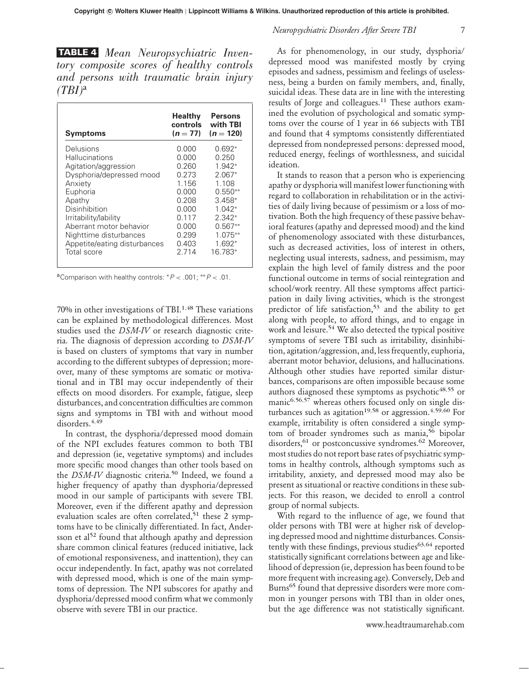**TABLE 4** *Mean Neuropsychiatric Inventory composite scores of healthy controls and persons with traumatic brain injury (TBI)*<sup>a</sup>

| Symptoms                           | <b>Healthy</b><br>controls<br>$(n = 77)$ | Persons<br>with TBI<br>$(n = 120)$ |
|------------------------------------|------------------------------------------|------------------------------------|
| Delusions<br><b>Hallucinations</b> | 0.000<br>0.000                           | 0.692*<br>0.250                    |
| Agitation/aggression               | 0.260                                    | 1.942*                             |
| Dysphoria/depressed mood           | 0.273                                    | $2.067*$                           |
| Anxiety                            | 1.156                                    | 1.108                              |
| Euphoria                           | 0.000                                    | $0.550**$                          |
| Apathy                             | 0.208                                    | $3.458*$                           |
| Disinhibition                      | 0.000                                    | $1.042*$                           |
| Irritability/lability              | 0.117                                    | $2.342*$                           |
| Aberrant motor behavior            | 0.000                                    | $0.567**$                          |
| Nighttime disturbances             | 0.299                                    | $1.075**$                          |
| Appetite/eating disturbances       | 0.403                                    | 1.692*                             |
| Total score                        | 2.714                                    | 16.783*                            |

<sup>a</sup>Comparison with healthy controls: <sup>∗</sup>*P* < .001; ∗∗*P* < .01.

70% in other investigations of TBI.<sup>1,48</sup> These variations can be explained by methodological differences. Most studies used the *DSM-IV* or research diagnostic criteria. The diagnosis of depression according to *DSM-IV* is based on clusters of symptoms that vary in number according to the different subtypes of depression; moreover, many of these symptoms are somatic or motivational and in TBI may occur independently of their effects on mood disorders. For example, fatigue, sleep disturbances, and concentration difficulties are common signs and symptoms in TBI with and without mood disorders.<sup>4,49</sup>

In contrast, the dysphoria/depressed mood domain of the NPI excludes features common to both TBI and depression (ie, vegetative symptoms) and includes more specific mood changes than other tools based on the *DSM-IV* diagnostic criteria.<sup>50</sup> Indeed, we found a higher frequency of apathy than dysphoria/depressed mood in our sample of participants with severe TBI. Moreover, even if the different apathy and depression evaluation scales are often correlated,<sup>51</sup> these 2 symptoms have to be clinically differentiated. In fact, Andersson et al<sup>52</sup> found that although apathy and depression share common clinical features (reduced initiative, lack of emotional responsiveness, and inattention), they can occur independently. In fact, apathy was not correlated with depressed mood, which is one of the main symptoms of depression. The NPI subscores for apathy and dysphoria/depressed mood confirm what we commonly observe with severe TBI in our practice.

*Neuropsychiatric Disorders After Severe TBI* 7

As for phenomenology, in our study, dysphoria/ depressed mood was manifested mostly by crying episodes and sadness, pessimism and feelings of uselessness, being a burden on family members, and, finally, suicidal ideas. These data are in line with the interesting results of Jorge and colleagues.<sup>11</sup> These authors examined the evolution of psychological and somatic symptoms over the course of 1 year in 66 subjects with TBI and found that 4 symptoms consistently differentiated depressed from nondepressed persons: depressed mood, reduced energy, feelings of worthlessness, and suicidal ideation.

It stands to reason that a person who is experiencing apathy or dysphoria will manifest lower functioning with regard to collaboration in rehabilitation or in the activities of daily living because of pessimism or a loss of motivation. Both the high frequency of these passive behavioral features (apathy and depressed mood) and the kind of phenomenology associated with these disturbances, such as decreased activities, loss of interest in others, neglecting usual interests, sadness, and pessimism, may explain the high level of family distress and the poor functional outcome in terms of social reintegration and school/work reentry. All these symptoms affect participation in daily living activities, which is the strongest predictor of life satisfaction,<sup>53</sup> and the ability to get along with people, to afford things, and to engage in work and leisure.<sup>54</sup> We also detected the typical positive symptoms of severe TBI such as irritability, disinhibition, agitation/aggression, and, less frequently, euphoria, aberrant motor behavior, delusions, and hallucinations. Although other studies have reported similar disturbances, comparisons are often impossible because some authors diagnosed these symptoms as psychotic $48,55$  or manic<sup>6,56,57</sup> whereas others focused only on single disturbances such as agitation<sup>19,58</sup> or aggression.<sup>4,59,60</sup> For example, irritability is often considered a single symptom of broader syndromes such as mania,<sup>56</sup> bipolar disorders,<sup>61</sup> or postconcussive syndromes.<sup>62</sup> Moreover, most studies do not report base rates of psychiatric symptoms in healthy controls, although symptoms such as irritability, anxiety, and depressed mood may also be present as situational or reactive conditions in these subjects. For this reason, we decided to enroll a control group of normal subjects.

With regard to the influence of age, we found that older persons with TBI were at higher risk of developing depressed mood and nighttime disturbances. Consistently with these findings, previous studies $63,64$  reported statistically significant correlations between age and likelihood of depression (ie, depression has been found to be more frequent with increasing age). Conversely, Deb and Burns<sup>65</sup> found that depressive disorders were more common in younger persons with TBI than in older ones, but the age difference was not statistically significant.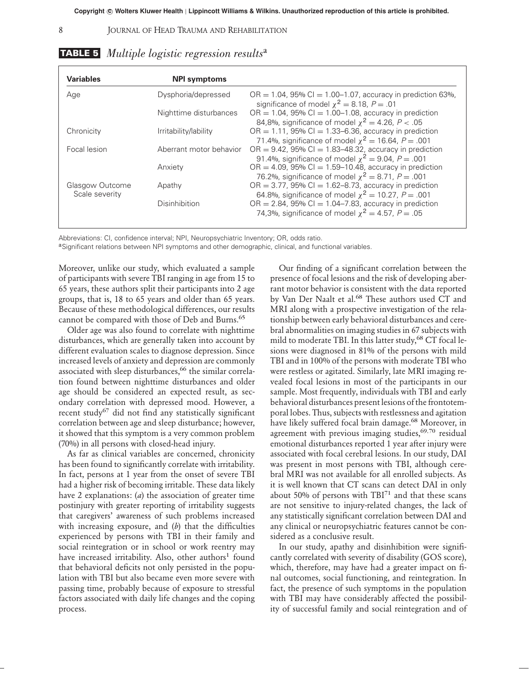| <b>Variables</b>                  | <b>NPI symptoms</b>     |                                                                                                                             |
|-----------------------------------|-------------------------|-----------------------------------------------------------------------------------------------------------------------------|
| Age                               | Dysphoria/depressed     | $OR = 1.04$ , 95% $Cl = 1.00-1.07$ , accuracy in prediction 63%,<br>significance of model $\chi^2 = 8.18$ , P = .01         |
|                                   | Nighttime disturbances  | $OR = 1.04$ , 95% $Cl = 1.00-1.08$ , accuracy in prediction<br>84,8%, significance of model $x^2 = 4.26$ , $P < .05$        |
| Chronicity                        | Irritability/lability   | $OR = 1.11$ , 95% $Cl = 1.33-6.36$ , accuracy in prediction<br>71.4%, significance of model $x^2 = 16.64$ , $P = .001$      |
| Focal lesion                      | Aberrant motor behavior | $OR = 9.42$ , 95% Cl = 1.83-48.32, accuracy in prediction<br>91.4%, significance of model $x^2 = 9.04$ , $P = .001$         |
|                                   | Anxiety                 | $OR = 4.09$ , 95% $Cl = 1.59 - 10.48$ , accuracy in prediction<br>76.2%, significance of model $\chi^2 = 8.71$ , $P = .001$ |
| Glasgow Outcome<br>Scale severity | Apathy                  | $OR = 3.77$ , 95% $Cl = 1.62 - 8.73$ , accuracy in prediction<br>64.8%, significance of model $\chi^2 = 10.27$ , $P = .001$ |
|                                   | Disinhibition           | $OR = 2.84$ , 95% Cl = 1.04–7.83, accuracy in prediction<br>74,3%, significance of model $\chi^2 = 4.57$ , $P = .05$        |

|  | <b>TABLE 5</b> Multiple logistic regression results <sup>a</sup> |  |
|--|------------------------------------------------------------------|--|
|  |                                                                  |  |

Abbreviations: CI, confidence interval; NPI, Neuropsychiatric Inventory; OR, odds ratio.

aSignificant relations between NPI symptoms and other demographic, clinical, and functional variables.

Moreover, unlike our study, which evaluated a sample of participants with severe TBI ranging in age from 15 to 65 years, these authors split their participants into 2 age groups, that is, 18 to 65 years and older than 65 years. Because of these methodological differences, our results cannot be compared with those of Deb and Burns.<sup>65</sup>

Older age was also found to correlate with nighttime disturbances, which are generally taken into account by different evaluation scales to diagnose depression. Since increased levels of anxiety and depression are commonly associated with sleep disturbances,<sup>66</sup> the similar correlation found between nighttime disturbances and older age should be considered an expected result, as secondary correlation with depressed mood. However, a recent study<sup>67</sup> did not find any statistically significant correlation between age and sleep disturbance; however, it showed that this symptom is a very common problem (70%) in all persons with closed-head injury.

As far as clinical variables are concerned, chronicity has been found to significantly correlate with irritability. In fact, persons at 1 year from the onset of severe TBI had a higher risk of becoming irritable. These data likely have 2 explanations: (*a*) the association of greater time postinjury with greater reporting of irritability suggests that caregivers' awareness of such problems increased with increasing exposure, and (*b*) that the difficulties experienced by persons with TBI in their family and social reintegration or in school or work reentry may have increased irritability. Also, other authors<sup>1</sup> found that behavioral deficits not only persisted in the population with TBI but also became even more severe with passing time, probably because of exposure to stressful factors associated with daily life changes and the coping process.

Our finding of a significant correlation between the presence of focal lesions and the risk of developing aberrant motor behavior is consistent with the data reported by Van Der Naalt et al.<sup>68</sup> These authors used CT and MRI along with a prospective investigation of the relationship between early behavioral disturbances and cerebral abnormalities on imaging studies in 67 subjects with mild to moderate TBI. In this latter study,<sup>68</sup> CT focal lesions were diagnosed in 81% of the persons with mild TBI and in 100% of the persons with moderate TBI who were restless or agitated. Similarly, late MRI imaging revealed focal lesions in most of the participants in our sample. Most frequently, individuals with TBI and early behavioral disturbances present lesions of the frontotemporal lobes. Thus, subjects with restlessness and agitation have likely suffered focal brain damage.<sup>68</sup> Moreover, in agreement with previous imaging studies,  $69,70$  residual emotional disturbances reported 1 year after injury were associated with focal cerebral lesions. In our study, DAI was present in most persons with TBI, although cerebral MRI was not available for all enrolled subjects. As it is well known that CT scans can detect DAI in only about 50% of persons with  $TBI<sup>71</sup>$  and that these scans are not sensitive to injury-related changes, the lack of any statistically significant correlation between DAI and any clinical or neuropsychiatric features cannot be considered as a conclusive result.

In our study, apathy and disinhibition were significantly correlated with severity of disability (GOS score), which, therefore, may have had a greater impact on final outcomes, social functioning, and reintegration. In fact, the presence of such symptoms in the population with TBI may have considerably affected the possibility of successful family and social reintegration and of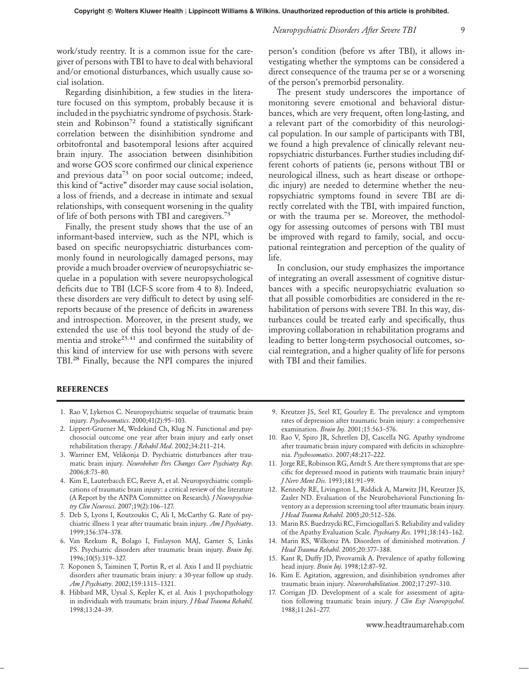## *Neuropsychiatric Disorders After Severe TBI* 9

work/study reentry. It is a common issue for the caregiver of persons with TBI to have to deal with behavioral and/or emotional disturbances, which usually cause social isolation.

Regarding disinhibition, a few studies in the literature focused on this symptom, probably because it is included in the psychiatric syndrome of psychosis. Starkstein and Robinson<sup>72</sup> found a statistically significant correlation between the disinhibition syndrome and orbitofrontal and basotemporal lesions after acquired brain injury. The association between disinhibition and worse GOS score confirmed our clinical experience and previous data<sup>73</sup> on poor social outcome; indeed, this kind of "active" disorder may cause social isolation, a loss of friends, and a decrease in intimate and sexual relationships, with consequent worsening in the quality of life of both persons with TBI and caregivers.<sup>73</sup>

Finally, the present study shows that the use of an informant-based interview, such as the NPI, which is based on specific neuropsychiatric disturbances commonly found in neurologically damaged persons, may provide a much broader overview of neuropsychiatric sequelae in a population with severe neuropsychological deficits due to TBI (LCF-S score from 4 to 8). Indeed, these disorders are very difficult to detect by using selfreports because of the presence of deficits in awareness and introspection. Moreover, in the present study, we extended the use of this tool beyond the study of dementia and stroke23,<sup>41</sup> and confirmed the suitability of this kind of interview for use with persons with severe TBI.<sup>28</sup> Finally, because the NPI compares the injured person's condition (before vs after TBI), it allows investigating whether the symptoms can be considered a direct consequence of the trauma per se or a worsening of the person's premorbid personality.

The present study underscores the importance of monitoring severe emotional and behavioral disturbances, which are very frequent, often long-lasting, and a relevant part of the comorbidity of this neurological population. In our sample of participants with TBI, we found a high prevalence of clinically relevant neuropsychiatric disturbances. Further studies including different cohorts of patients (ie, persons without TBI or neurological illness, such as heart disease or orthopedic injury) are needed to determine whether the neuropsychiatric symptoms found in severe TBI are directly correlated with the TBI, with impaired function, or with the trauma per se. Moreover, the methodology for assessing outcomes of persons with TBI must be improved with regard to family, social, and occupational reintegration and perception of the quality of life.

In conclusion, our study emphasizes the importance of integrating an overall assessment of cognitive disturbances with a specific neuropsychiatric evaluation so that all possible comorbidities are considered in the rehabilitation of persons with severe TBI. In this way, disturbances could be treated early and specifically, thus improving collaboration in rehabilitation programs and leading to better long-term psychosocial outcomes, social reintegration, and a higher quality of life for persons with TBI and their families.

#### **REFERENCES**

- 1. Rao V, Lyketsos C. Neuropsychiatric sequelae of traumatic brain injury. *Psychosomatics*. 2000;41(2):95–103.
- 2. Lippert-Gruener M, Wedekind Ch, Klug N. Functional and psychosocial outcome one year after brain injury and early onset rehabilitation therapy. *J Rehabil Med*. 2002;34:211–214.
- 3. Warriner EM, Velikonja D. Psychiatric disturbances after traumatic brain injury. *Neurobehav Pers Changes Curr Psychiatry Rep.* 2006;8:73–80.
- 4. Kim E, Lauterbacch EC, Reeve A, et al. Neuropsychiatric complications of traumatic brain injury: a critical review of the literature (A Report by the ANPA Committee on Research). *J Neuropsychiatry Clin Neurosci*. 2007;19(2):106–127.
- 5. Deb S, Lyons I, Koutzoukis C, Ali I, McCarthy G. Rate of psychiatric illness 1 year after traumatic brain injury. *Am J Psychiatry*. 1999;156:374–378.
- 6. Van Reekum R, Bolago I, Finlayson MAJ, Garner S, Links PS. Psychiatric disorders after traumatic brain injury. *Brain Inj*. 1996;10(5):319–327.
- 7. Koponen S, Taiminen T, Portin R, et al. Axis I and II psychiatric disorders after traumatic brain injury: a 30-year follow up study. *Am J Psychiatry*. 2002;159:1315–1321.
- 8. Hibbard MR, Uysal S, Kepler K, et al. Axis 1 psychopathology in individuals with traumatic brain injury. *J Head Trauma Rehabil*. 1998;13:24–39.
- 9. Kreutzer JS, Seel RT, Gourley E. The prevalence and symptom rates of depression after traumatic brain injury: a comprehensive examination. *Brain Inj*. 2001;15:563–576.
- 10. Rao V, Spiro JR, Schretlen DJ, Cascella NG. Apathy syndrome after traumatic brain injury compared with deficits in schizophrenia. *Psychosomatics*. 2007;48:217–222.
- 11. Jorge RE, Robinson RG, Arndt S. Are there symptoms that are specific for depressed mood in patients with traumatic brain injury? *J Nerv Ment Dis.* 1993;181:91–99.
- 12. Kennedy RE, Livingston L, Riddick A, Marwitz JH, Kreutzer JS, Zasler ND. Evaluation of the Neurobehavioral Functioning Inventory as a depression screening tool after traumatic brain injury. *J Head Trauma Rehabil.* 2005;20:512–526.
- 13. Marin RS. Buedrzycki RC, Firnciogullari S. Reliability and validity of the Apathy Evaluation Scale. *Psychiatry Res*. 1991;38:143–162.
- 14. Marin RS, Wilkotsz PA. Disorders of diminished motivation. *J Head Trauma Rehabil*. 2005;20:377–388.
- 15. Kant R, Duffy JD, Pivovarnik A. Prevalence of apathy following head injury. *Brain Inj*. 1998;12:87–92.
- 16. Kim E. Agitation, aggression, and disinhibition syndromes after traumatic brain injury. *Neurorehabilitation.* 2002;17:297–310.
- 17. Corrigan JD. Development of a scale for assessment of agitation following traumatic brain injury. *J Clin Exp Neuropsychol*. 1988;11:261–277.

www.headtraumarehab.com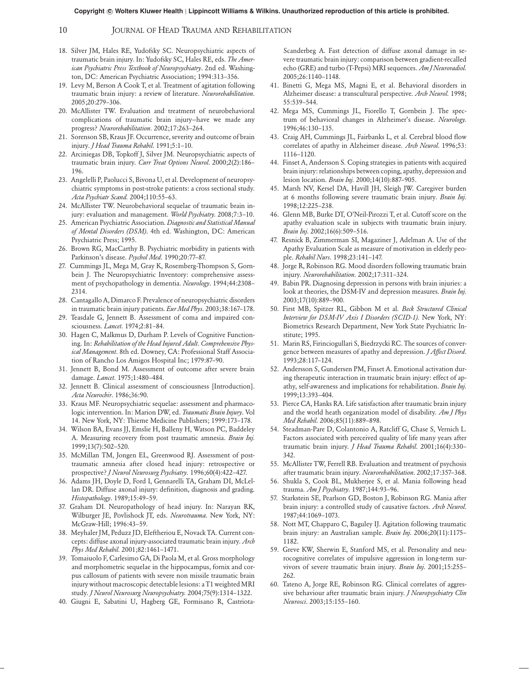- 18. Silver JM, Hales RE, Yudofsky SC. Neuropsychiatric aspects of traumatic brain injury. In: Yudofsky SC, Hales RE, eds. *The American Psychiatric Press Textbook of Neuropsychiatry*. 2nd ed. Washington, DC: American Psychiatric Association; 1994:313–356.
- 19. Levy M, Berson A Cook T, et al. Treatment of agitation following traumatic brain injury: a review of literature. *Neurorehabilitation*. 2005;20:279–306.
- 20. McAllister TW. Evaluation and treatment of neurobehavioral complications of traumatic brain injury—have we made any progress? *Neurorehabilitation.* 2002;17:263–264.
- 21. Sorenson SB, Kraus JF. Occurrence, severity and outcome of brain injury. *J Head Trauma Rehabil*. 1991;5:1–10.
- 22. Arciniegas DB, Topkoff J, Silver JM. Neuropsychiatric aspects of traumatic brain injury. *Curr Treat Options Neurol*. 2000;2(2):186– 196.
- 23. Angelelli P, Paolucci S, Bivona U, et al. Development of neuropsychiatric symptoms in post-stroke patients: a cross sectional study. *Acta Psychiatr Scand.* 2004;110:55–63.
- 24. McAllister TW. Neurobehavioral sequelae of traumatic brain injury: evaluation and management. *World Psychiatry.* 2008;7:3–10.
- 25. American Psychiatric Association*. Diagnostic and Statistical Manual of Mental Disorders (DSM)*. 4th ed. Washington, DC: American Psychiatric Press; 1995.
- 26. Brown RG, MacCarthy B. Psychiatric morbidity in patients with Parkinson's disease. *Psychol Med*. 1990;20:77–87.
- 27. Cummings JL, Mega M, Gray K, Rosemberg-Thompson S, Gornbein J. The Neuropsychiatric Inventory: comprehensive assessment of psychopathology in dementia. *Neurology*. 1994;44:2308– 2314.
- 28. Cantagallo A, Dimarco F. Prevalence of neuropsychiatric disorders in traumatic brain injury patients*. Eur Med Phys*. 2003;38:167–178.
- 29. Teasdale G, Jennett B. Assessment of coma and impaired consciousness. *Lancet*. 1974;2:81–84.
- 30. Hagen C, Malkmus D, Durham P. Levels of Cognitive Functioning. In: *Rehabilitation of the Head Injured Adult. Comprehensive Physical Management*. 8th ed. Downey, CA: Professional Staff Association of Rancho Los Amigos Hospital Inc; 1979:87–90.
- 31. Jennett B, Bond M. Assessment of outcome after severe brain damage. *Lancet*. 1975;1:480–484.
- 32. Jennett B. Clinical assessment of consciousness [Introduction]. *Acta Neurochir*. 1986;36:90.
- 33. Kraus MF. Neuropsychiatric sequelae: assessment and pharmacologic intervention. In: Marion DW, ed. *Traumatic Brain Injury*. Vol 14. New York, NY: Thieme Medicine Publishers; 1999:173–178.
- 34. Wilson BA, Evans JJ, Emslie H, Balleny H, Watson PC, Baddeley A. Measuring recovery from post traumatic amnesia. *Brain Inj.* 1999;13(7):502–520.
- 35. McMillan TM, Jongen EL, Greenwood RJ. Assessment of posttraumatic amnesia after closed head injury: retrospective or prospective? *J Neurol Neurosurg Psychiatry*. 1996;60(4):422–427.
- 36. Adams JH, Doyle D, Ford I, Gennarelli TA, Graham DI, McLellan DR. Diffuse axonal injury: definition, diagnosis and grading. *Histopathology*. 1989;15:49–59.
- 37. Graham DI. Neuropathology of head injury. In: Narayan RK, Wilburger JE, Povlishock JT, eds. *Neurotrauma*. New York, NY: McGraw-Hill; 1996:43–59.
- 38. Meyhaler JM, Peduzz JD, Eleftheriou E, Novack TA. Current concepts: diffuse axonal injury-associated traumatic brain injury. *Arch Phys Med Rehabil.* 2001;82:1461–1471.
- 39. Tomaiuolo F, Carlesimo GA, Di Paola M, et al. Gross morphology and morphometric sequelae in the hippocampus, fornix and corpus callosum of patients with severe non missile traumatic brain injury without macroscopic detectable lesions: a T1 weighted MRI study. *J Neurol Neurosurg Neuropsychiatry.* 2004;75(9):1314–1322.
- 40. Giugni E, Sabatini U, Hagberg GE, Formisano R, Castriota-

Scanderbeg A. Fast detection of diffuse axonal damage in severe traumatic brain injury: comparison between gradient-recalled echo (GRE) and turbo (T-Pepsi) MRI sequences. *Am J Neuroradiol.* 2005;26:1140–1148.

- 41. Binetti G, Mega MS, Magni E, et al. Behavioral disorders in Alzheimer disease: a transcultural perspective*. Arch Neurol.* 1998; 55:539–544.
- 42. Mega MS, Cummings JL, Fiorello T, Gornbein J. The spectrum of behavioral changes in Alzheimer's disease. *Neurology.* 1996;46:130–135.
- 43. Craig AH, Cummings JL, Fairbanks L, et al. Cerebral blood flow correlates of apathy in Alzheimer disease. *Arch Neurol*. 1996;53: 1116–1120.
- 44. Finset A, Andersson S. Coping strategies in patients with acquired brain injury: relationships between coping, apathy, depression and lesion location. *Brain Inj.* 2000;14(10):887–905.
- 45. Marsh NV, Kersel DA, Havill JH, Sleigh JW. Caregiver burden at 6 months following severe traumatic brain injury. *Brain Inj.* 1998;12:225–238.
- 46. Glenn MB, Burke DT, O'Neil-Pirozzi T, et al. Cutoff score on the apathy evaluation scale in subjects with traumatic brain injury. *Brain Inj*. 2002;16(6):509–516.
- 47. Resnick B, Zimmerman SI, Magaziner J, Adelman A. Use of the Apathy Evaluation Scale as measure of motivation in elderly people. *Rehabil Nurs*. 1998;23:141–147.
- 48. Jorge R, Robinson RG. Mood disorders following traumatic brain injury. *Neurorehabilitation.* 2002;17:311–324.
- 49. Babin PR. Diagnosing depression in persons with brain injuries: a look at theories, the DSM-IV and depression measures. *Brain Inj.* 2003;17(10):889–900.
- 50. First MB, Spitzer RL, Gibbon M et al. *Beck Structured Clinical Interview for DSM-IV Axis I Disorders (SCID-1).* New York, NY: Biometrics Research Department, New York State Psychiatric Institute; 1995.
- 51. Marin RS, Firinciogullari S, Biedrzycki RC. The sources of convergence between measures of apathy and depression. *J Affect Disord*. 1993;28:117–124.
- 52. Andersson S, Gundersen PM, Finset A. Emotional activation during therapeutic interaction in traumatic brain injury: effect of apathy, self-awareness and implications for rehabilitation. *Brain Inj.* 1999;13:393–404.
- 53. Pierce CA, Hanks RA. Life satisfaction after traumatic brain injury and the world heath organization model of disability. *Am J Phys Med Rehabil*. 2006;85(11):889–898.
- 54. Steadman-Pare D, Colantonio A, Ratcliff G, Chase S, Vernich L. Factors associated with perceived quality of life many years after traumatic brain injury. *J Head Trauma Rehabil*. 2001;16(4):330– 342.
- 55. McAllister TW, Ferrell RB. Evaluation and treatment of psychosis after traumatic brain injury. *Neurorehabilitation*. 2002;17:357–368.
- 56. Shukla S, Cook BL, Mukherjee S, et al. Mania following head trauma. *Am J Psychiatry*. 1987;144:93–96.
- 57. Starkstein SE, Pearlson GD, Boston J, Robinson RG. Mania after brain injury: a controlled study of causative factors. *Arch Neurol*. 1987;44:1069–1073.
- 58. Nott MT, Chapparo C, Baguley IJ. Agitation following traumatic brain injury: an Australian sample. *Brain Inj*. 2006;20(11):1175– 1182.
- 59. Greve KW, Sherwin E, Stanford MS, et al. Personality and neurocognitive correlates of impulsive aggression in long-term survivors of severe traumatic brain injury. *Brain Inj*. 2001;15:255– 262.
- 60. Tateno A, Jorge RE, Robinson RG. Clinical correlates of aggressive behaviour after traumatic brain injury. *J Neuropsychiatry Clin Neurosci*. 2003;15:155–160.